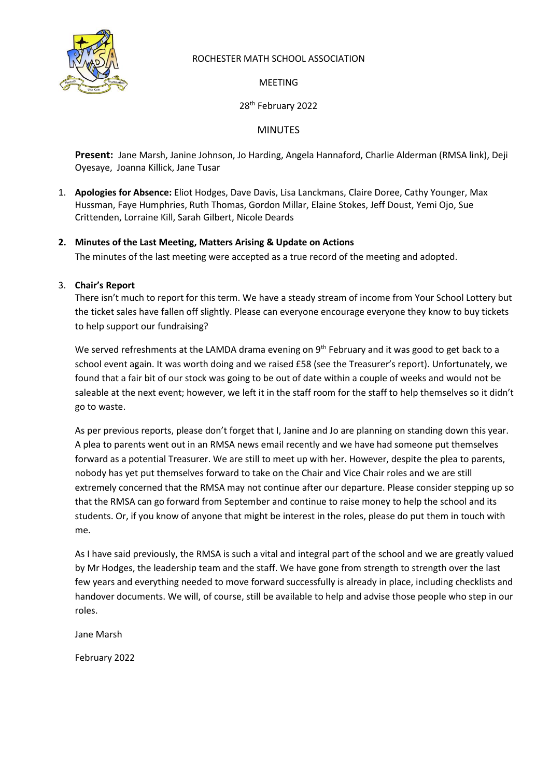

### ROCHESTER MATH SCHOOL ASSOCIATION

MEETING

# 28<sup>th</sup> February 2022

# MINUTES

**Present:** Jane Marsh, Janine Johnson, Jo Harding, Angela Hannaford, Charlie Alderman (RMSA link), Deji Oyesaye, Joanna Killick, Jane Tusar

1. **Apologies for Absence:** Eliot Hodges, Dave Davis, Lisa Lanckmans, Claire Doree, Cathy Younger, Max Hussman, Faye Humphries, Ruth Thomas, Gordon Millar, Elaine Stokes, Jeff Doust, Yemi Ojo, Sue Crittenden, Lorraine Kill, Sarah Gilbert, Nicole Deards

# **2. Minutes of the Last Meeting, Matters Arising & Update on Actions**

The minutes of the last meeting were accepted as a true record of the meeting and adopted.

### 3. **Chair's Report**

There isn't much to report for this term. We have a steady stream of income from Your School Lottery but the ticket sales have fallen off slightly. Please can everyone encourage everyone they know to buy tickets to help support our fundraising?

We served refreshments at the LAMDA drama evening on 9<sup>th</sup> February and it was good to get back to a school event again. It was worth doing and we raised £58 (see the Treasurer's report). Unfortunately, we found that a fair bit of our stock was going to be out of date within a couple of weeks and would not be saleable at the next event; however, we left it in the staff room for the staff to help themselves so it didn't go to waste.

As per previous reports, please don't forget that I, Janine and Jo are planning on standing down this year. A plea to parents went out in an RMSA news email recently and we have had someone put themselves forward as a potential Treasurer. We are still to meet up with her. However, despite the plea to parents, nobody has yet put themselves forward to take on the Chair and Vice Chair roles and we are still extremely concerned that the RMSA may not continue after our departure. Please consider stepping up so that the RMSA can go forward from September and continue to raise money to help the school and its students. Or, if you know of anyone that might be interest in the roles, please do put them in touch with me.

As I have said previously, the RMSA is such a vital and integral part of the school and we are greatly valued by Mr Hodges, the leadership team and the staff. We have gone from strength to strength over the last few years and everything needed to move forward successfully is already in place, including checklists and handover documents. We will, of course, still be available to help and advise those people who step in our roles.

Jane Marsh

February 2022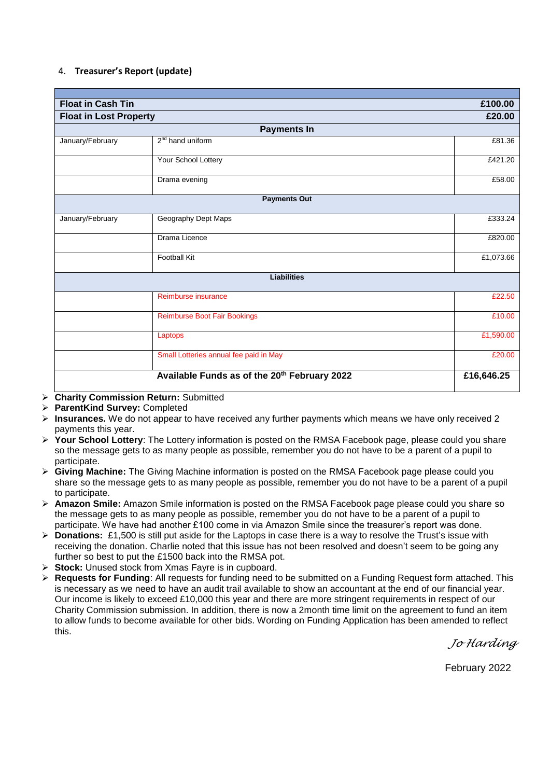#### 4. **Treasurer's Report (update)**

| <b>Float in Cash Tin</b>      | £100.00                                      |            |  |  |  |  |
|-------------------------------|----------------------------------------------|------------|--|--|--|--|
| <b>Float in Lost Property</b> | £20.00                                       |            |  |  |  |  |
| <b>Payments In</b>            |                                              |            |  |  |  |  |
| January/February              | 2 <sup>nd</sup> hand uniform                 | £81.36     |  |  |  |  |
|                               | Your School Lottery                          | £421.20    |  |  |  |  |
|                               | Drama evening                                | £58.00     |  |  |  |  |
| <b>Payments Out</b>           |                                              |            |  |  |  |  |
|                               |                                              |            |  |  |  |  |
| January/February              | Geography Dept Maps                          | £333.24    |  |  |  |  |
|                               | Drama Licence                                | £820.00    |  |  |  |  |
|                               | <b>Football Kit</b>                          | £1,073.66  |  |  |  |  |
| <b>Liabilities</b>            |                                              |            |  |  |  |  |
|                               |                                              |            |  |  |  |  |
|                               | Reimburse insurance                          | £22.50     |  |  |  |  |
|                               | <b>Reimburse Boot Fair Bookings</b>          | £10.00     |  |  |  |  |
|                               | Laptops                                      | £1,590.00  |  |  |  |  |
|                               | Small Lotteries annual fee paid in May       | £20.00     |  |  |  |  |
|                               | Available Funds as of the 20th February 2022 | £16,646.25 |  |  |  |  |

- ➢ **Charity Commission Return:** Submitted
- ➢ **ParentKind Survey:** Completed
- ➢ **Insurances.** We do not appear to have received any further payments which means we have only received 2 payments this year.
- ➢ **Your School Lottery**: The Lottery information is posted on the RMSA Facebook page, please could you share so the message gets to as many people as possible, remember you do not have to be a parent of a pupil to participate.
- ➢ **Giving Machine:** The Giving Machine information is posted on the RMSA Facebook page please could you share so the message gets to as many people as possible, remember you do not have to be a parent of a pupil to participate.
- ➢ **Amazon Smile:** Amazon Smile information is posted on the RMSA Facebook page please could you share so the message gets to as many people as possible, remember you do not have to be a parent of a pupil to participate. We have had another £100 come in via Amazon Smile since the treasurer's report was done.
- ➢ **Donations:** £1,500 is still put aside for the Laptops in case there is a way to resolve the Trust's issue with receiving the donation. Charlie noted that this issue has not been resolved and doesn't seem to be going any further so best to put the £1500 back into the RMSA pot.
- ➢ **Stock:** Unused stock from Xmas Fayre is in cupboard.
- ➢ **Requests for Funding**: All requests for funding need to be submitted on a Funding Request form attached. This is necessary as we need to have an audit trail available to show an accountant at the end of our financial year. Our income is likely to exceed £10,000 this year and there are more stringent requirements in respect of our Charity Commission submission. In addition, there is now a 2month time limit on the agreement to fund an item to allow funds to become available for other bids. Wording on Funding Application has been amended to reflect this.

*Jo Harding*

February 2022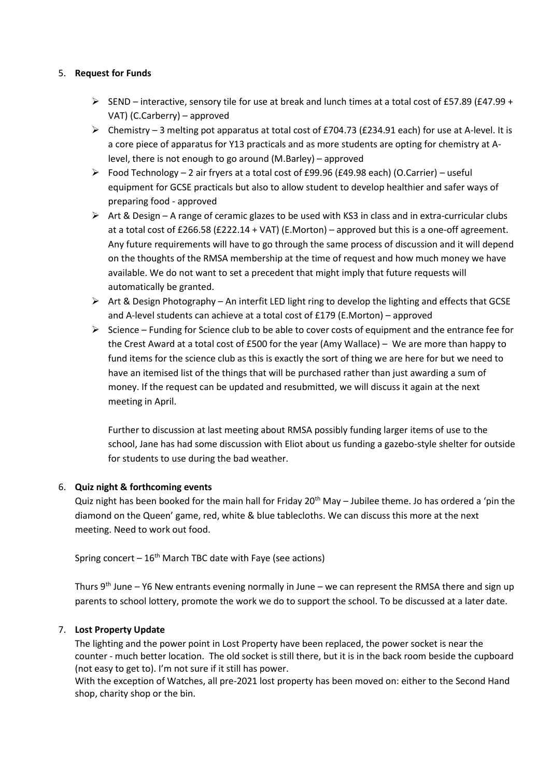#### 5. **Request for Funds**

- ➢ SEND interactive, sensory tile for use at break and lunch times at a total cost of £57.89 (£47.99 + VAT) (C.Carberry) – approved
- ➢ Chemistry 3 melting pot apparatus at total cost of £704.73 (£234.91 each) for use at A-level. It is a core piece of apparatus for Y13 practicals and as more students are opting for chemistry at Alevel, there is not enough to go around (M.Barley) – approved
- ➢ Food Technology 2 air fryers at a total cost of £99.96 (£49.98 each) (O.Carrier) useful equipment for GCSE practicals but also to allow student to develop healthier and safer ways of preparing food - approved
- $\triangleright$  Art & Design A range of ceramic glazes to be used with KS3 in class and in extra-curricular clubs at a total cost of £266.58 (£222.14 + VAT) (E.Morton) – approved but this is a one-off agreement. Any future requirements will have to go through the same process of discussion and it will depend on the thoughts of the RMSA membership at the time of request and how much money we have available. We do not want to set a precedent that might imply that future requests will automatically be granted.
- ➢ Art & Design Photography An interfit LED light ring to develop the lighting and effects that GCSE and A-level students can achieve at a total cost of £179 (E.Morton) – approved
- $\triangleright$  Science Funding for Science club to be able to cover costs of equipment and the entrance fee for the Crest Award at a total cost of £500 for the year (Amy Wallace) – We are more than happy to fund items for the science club as this is exactly the sort of thing we are here for but we need to have an itemised list of the things that will be purchased rather than just awarding a sum of money. If the request can be updated and resubmitted, we will discuss it again at the next meeting in April.

Further to discussion at last meeting about RMSA possibly funding larger items of use to the school, Jane has had some discussion with Eliot about us funding a gazebo-style shelter for outside for students to use during the bad weather.

### 6. **Quiz night & forthcoming events**

Quiz night has been booked for the main hall for Friday 20<sup>th</sup> May – Jubilee theme. Jo has ordered a 'pin the diamond on the Queen' game, red, white & blue tablecloths. We can discuss this more at the next meeting. Need to work out food.

Spring concert  $-16<sup>th</sup>$  March TBC date with Faye (see actions)

Thurs  $9<sup>th</sup>$  June – Y6 New entrants evening normally in June – we can represent the RMSA there and sign up parents to school lottery, promote the work we do to support the school. To be discussed at a later date.

### 7. **Lost Property Update**

The lighting and the power point in Lost Property have been replaced, the power socket is near the counter - much better location. The old socket is still there, but it is in the back room beside the cupboard (not easy to get to). I'm not sure if it still has power.

With the exception of Watches, all pre-2021 lost property has been moved on: either to the Second Hand shop, charity shop or the bin.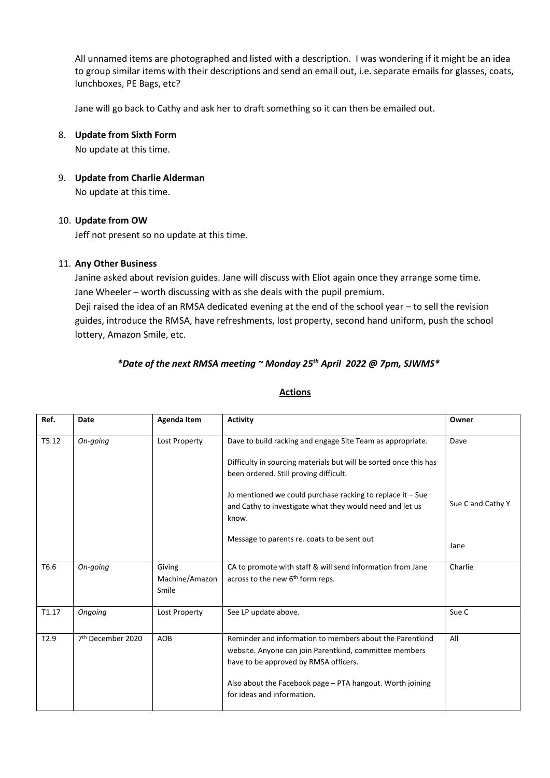All unnamed items are photographed and listed with a description. I was wondering if it might be an idea to group similar items with their descriptions and send an email out, i.e. separate emails for glasses, coats, lunchboxes, PE Bags, etc?

Jane will go back to Cathy and ask her to draft something so it can then be emailed out.

### 8. **Update from Sixth Form**

No update at this time.

9. **Update from Charlie Alderman**

No update at this time.

#### 10. **Update from OW**

Jeff not present so no update at this time.

### 11. **Any Other Business**

Janine asked about revision guides. Jane will discuss with Eliot again once they arrange some time. Jane Wheeler – worth discussing with as she deals with the pupil premium.

Deji raised the idea of an RMSA dedicated evening at the end of the school year – to sell the revision guides, introduce the RMSA, have refreshments, lost property, second hand uniform, push the school lottery, Amazon Smile, etc.

# *\*Date of the next RMSA meeting ~ Monday 25th April 2022 @ 7pm, SJWMS\**

| Ref.  | Date                          | <b>Agenda Item</b>                | <b>Activity</b>                                                                                                                                                                                                                                        | Owner             |
|-------|-------------------------------|-----------------------------------|--------------------------------------------------------------------------------------------------------------------------------------------------------------------------------------------------------------------------------------------------------|-------------------|
| T5.12 | On-going                      | Lost Property                     | Dave to build racking and engage Site Team as appropriate.<br>Difficulty in sourcing materials but will be sorted once this has<br>been ordered. Still proving difficult.                                                                              | Dave              |
|       |                               |                                   | Jo mentioned we could purchase racking to replace it $-$ Sue<br>and Cathy to investigate what they would need and let us<br>know.                                                                                                                      | Sue C and Cathy Y |
|       |                               |                                   | Message to parents re. coats to be sent out                                                                                                                                                                                                            | Jane              |
| T6.6  | On-going                      | Giving<br>Machine/Amazon<br>Smile | CA to promote with staff & will send information from Jane<br>across to the new 6 <sup>th</sup> form reps.                                                                                                                                             | Charlie           |
| T1.17 | Ongoing                       | Lost Property                     | See LP update above.                                                                                                                                                                                                                                   | Sue C             |
| T2.9  | 7 <sup>th</sup> December 2020 | AOB                               | Reminder and information to members about the Parentkind<br>website. Anyone can join Parentkind, committee members<br>have to be approved by RMSA officers.<br>Also about the Facebook page - PTA hangout. Worth joining<br>for ideas and information. | All               |

#### **Actions**